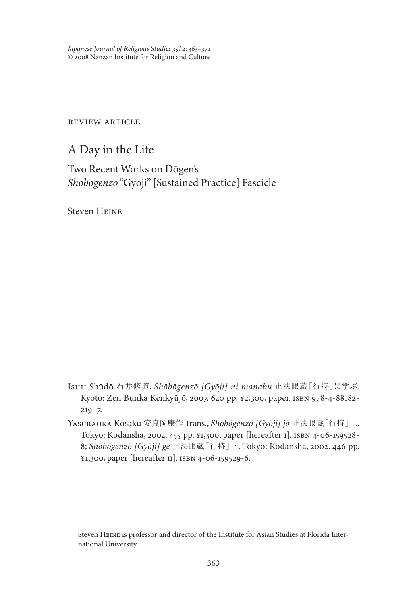*Japanese Journal of Religious Studies* 35/2: 363–371 © 2008 Nanzan Institute for Religion and Culture

## review article

A Day in the Life

Two Recent Works on Dōgen's *Shōbōgenzō* "Gyōji" [Sustained Practice] Fascicle

Steven Heine

- Ishii Shūdō 石井修道, *Shōbōgenzō [Gyōji] ni manabu* 正法眼蔵「行持」に学ぶ. Kyoto: Zen Bunka Kenkyūjō, 2007. 620 pp. ¥2,300, paper. isbn 978-4-88182-  $219 - 7.$
- Yasuraoka Kōsaku 安良岡康作 trans., *Shōbōgenzō [Gyōji] jō* 正法眼蔵「行持」上. Tokyo: Kodansha, 2002. 455 pp. ¥1,300, paper [hereafter I]. isbn 4-06-159528- 8; *Shōbōgenzō [Gyōji] ge* 正法眼蔵「行持」下. Tokyo: Kodansha, 2002. 446 pp. ¥1,300, paper [hereafter II]. isbn 4-06-159529-6.

Steven Heine is professor and director of the Institute for Asian Studies at Florida International University.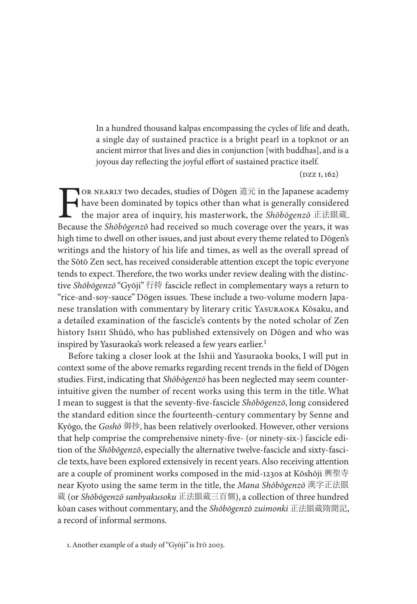In a hundred thousand kalpas encompassing the cycles of life and death, a single day of sustained practice is a bright pearl in a topknot or an ancient mirror that lives and dies in conjunction [with buddhas], and is a joyous day reflecting the joyful effort of sustained practice itself.

 $(DZZ I, 162)$ 

**For NEARLY** two decades, studies of Dōgen 道元 in the Japanese academy have been dominated by topics other than what is generally considered the major area of inquiry, his masterwork, the *Shōbōgenzō* 正法眼蔵. Because the *Sh* have been dominated by topics other than what is generally considered the major area of inquiry, his masterwork, the *Shōbōgenzō* 正法眼蔵. high time to dwell on other issues, and just about every theme related to Dōgen's writings and the history of his life and times, as well as the overall spread of the Sōtō Zen sect, has received considerable attention except the topic everyone tends to expect. Therefore, the two works under review dealing with the distinctive *Shōbōgenzō* "Gyōji" 行持 fascicle reflect in complementary ways a return to "rice-and-soy-sauce" Dōgen issues. These include a two-volume modern Japanese translation with commentary by literary critic Yasuraoka Kōsaku, and a detailed examination of the fascicle's contents by the noted scholar of Zen history Ishii Shūdō, who has published extensively on Dōgen and who was inspired by Yasuraoka's work released a few years earlier. 1

Before taking a closer look at the Ishii and Yasuraoka books, I will put in context some of the above remarks regarding recent trends in the field of Dōgen studies. First, indicating that *Shōbōgenzō* has been neglected may seem counterintuitive given the number of recent works using this term in the title. What I mean to suggest is that the seventy-five-fascicle *Shōbōgenzō*, long considered the standard edition since the fourteenth-century commentary by Senne and Kyōgo, the *Goshō* 御抄, has been relatively overlooked. However, other versions that help comprise the comprehensive ninety-five- (or ninety-six-) fascicle edition of the *Shōbōgenzō*, especially the alternative twelve-fascicle and sixty-fascicle texts, have been explored extensively in recent years. Also receiving attention are a couple of prominent works composed in the mid-1230s at Kōshōji 興聖寺 near Kyoto using the same term in the title, the *Mana Shōbōgenzō* 漢字正法眼 蔵 (or *Shōbōgenzō sanbyakusoku* 正法眼蔵三百側), a collection of three hundred kōan cases without commentary, and the *Shōbōgenzō zuimonki* 正法眼蔵隋聞記, a record of informal sermons.

1. Another example of a study of "Gyōji" is Itō 2003.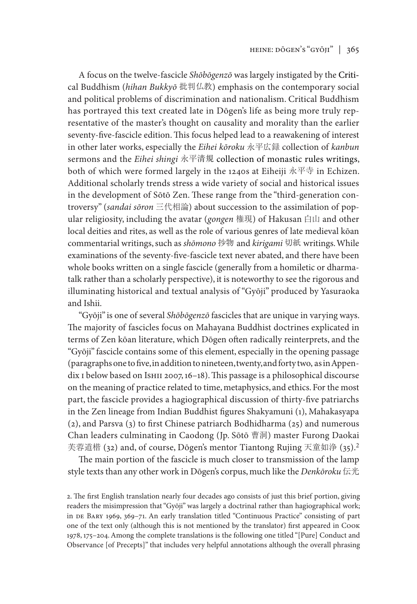A focus on the twelve-fascicle *Shōbōgenzō* was largely instigated by the Critical Buddhism (*hihan Bukkyō* 批判仏教) emphasis on the contemporary social and political problems of discrimination and nationalism. Critical Buddhism has portrayed this text created late in Dōgen's life as being more truly representative of the master's thought on causality and morality than the earlier seventy-five-fascicle edition. This focus helped lead to a reawakening of interest in other later works, especially the *Eihei kōroku* 永平広録 collection of *kanbun* sermons and the *Eihei shingi* 永平清規 collection of monastic rules writings, both of which were formed largely in the 1240s at Eiheiji 永平寺 in Echizen. Additional scholarly trends stress a wide variety of social and historical issues in the development of Sōtō Zen. These range from the "third-generation controversy" (*sandai sōron* 三代相論) about succession to the assimilation of popular religiosity, including the avatar (*gongen* 権現) of Hakusan 白山 and other local deities and rites, as well as the role of various genres of late medieval kōan commentarial writings, such as *shōmono* 抄物 and *kirigami* 切紙 writings. While examinations of the seventy-five-fascicle text never abated, and there have been whole books written on a single fascicle (generally from a homiletic or dharmatalk rather than a scholarly perspective), it is noteworthy to see the rigorous and illuminating historical and textual analysis of "Gyōji" produced by Yasuraoka and Ishii.

"Gyōji" is one of several *Shōbōgenzō* fascicles that are unique in varying ways. The majority of fascicles focus on Mahayana Buddhist doctrines explicated in terms of Zen kōan literature, which Dōgen often radically reinterprets, and the "Gyōji" fascicle contains some of this element, especially in the opening passage (paragraphs one to five, in addition to nineteen, twenty, and forty two, as in Appendix I below based on IsHII 2007, 16-18). This passage is a philosophical discourse on the meaning of practice related to time, metaphysics, and ethics. For the most part, the fascicle provides a hagiographical discussion of thirty-five patriarchs in the Zen lineage from Indian Buddhist figures Shakyamuni (1), Mahakasyapa (2), and Parsva (3) to first Chinese patriarch Bodhidharma (25) and numerous Chan leaders culminating in Caodong (Jp. Sōtō 曹洞) master Furong Daokai 芙蓉道楷 (32) and, of course, Dōgen's mentor Tiantong Rujing 天童如浄 (35). 2

The main portion of the fascicle is much closer to transmission of the lamp style texts than any other work in Dōgen's corpus, much like the *Denkōroku* 伝光

2. The first English translation nearly four decades ago consists of just this brief portion, giving readers the misimpression that "Gyōji" was largely a doctrinal rather than hagiographical work; in de Bary 1969, 369–71. An early translation titled "Continuous Practice" consisting of part one of the text only (although this is not mentioned by the translator) first appeared in Cook 1978, 175–204. Among the complete translations is the following one titled "[Pure] Conduct and Observance [of Precepts]" that includes very helpful annotations although the overall phrasing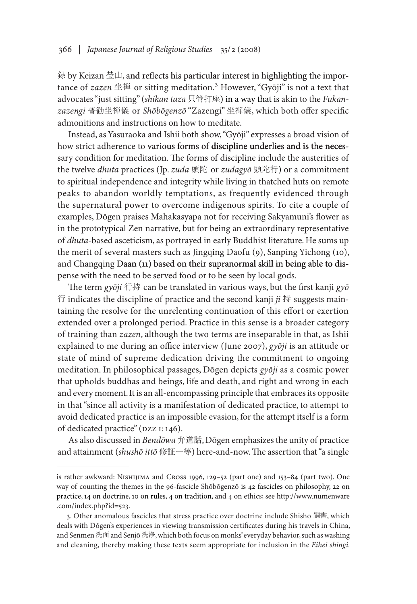録 by Keizan 瑩山, and reflects his particular interest in highlighting the importance of *zazen* 坐禅 or sitting meditation.3 However, "Gyōji" is not a text that advocates "just sitting" (*shikan taza* 只管打座) in a way that is akin to the *Fukanzazengi* 普勧坐禅儀 or *Shōbōgenzō* "Zazengi" 坐禅儀, which both offer specific admonitions and instructions on how to meditate.

Instead, as Yasuraoka and Ishii both show, "Gyōji" expresses a broad vision of how strict adherence to various forms of discipline underlies and is the necessary condition for meditation. The forms of discipline include the austerities of the twelve *dhuta* practices (Jp. *zuda* 頭陀 or *zudagyō* 頭陀行) or a commitment to spiritual independence and integrity while living in thatched huts on remote peaks to abandon worldly temptations, as frequently evidenced through the supernatural power to overcome indigenous spirits. To cite a couple of examples, Dōgen praises Mahakasyapa not for receiving Sakyamuni's flower as in the prototypical Zen narrative, but for being an extraordinary representative of *dhuta*-based asceticism, as portrayed in early Buddhist literature. He sums up the merit of several masters such as Jingqing Daofu (9), Sanping Yichong (10), and Changqing Daan (11) based on their supranormal skill in being able to dispense with the need to be served food or to be seen by local gods.

The term *gyōji* 行持 can be translated in various ways, but the first kanji *gyō* 行 indicates the discipline of practice and the second kanji *ji* 持 suggests maintaining the resolve for the unrelenting continuation of this effort or exertion extended over a prolonged period. Practice in this sense is a broader category of training than *zazen*, although the two terms are inseparable in that, as Ishii explained to me during an office interview (June 2007), *gyōji* is an attitude or state of mind of supreme dedication driving the commitment to ongoing meditation. In philosophical passages, Dōgen depicts *gyōji* as a cosmic power that upholds buddhas and beings, life and death, and right and wrong in each and every moment. It is an all-encompassing principle that embraces its opposite in that "since all activity is a manifestation of dedicated practice, to attempt to avoid dedicated practice is an impossible evasion, for the attempt itself is a form of dedicated practice" (DZZ I: 146).

As also discussed in *Bendōwa* 弁道話, Dōgen emphasizes the unity of practice and attainment (*shushō ittō* 修証一等) here-and-now. The assertion that "a single

is rather awkward: Nishijima and Cross 1996, 129–52 (part one) and 153–84 (part two). One way of counting the themes in the 96-fascicle Shōbōgenzō is 42 fascicles on philosophy, 22 on practice, 14 on doctrine, 10 on rules, 4 on tradition, and 4 on ethics; see http://www.numenware .com/index.php?id=523.

<sup>3.</sup> Other anomalous fascicles that stress practice over doctrine include Shisho 嗣書, which deals with Dōgen's experiences in viewing transmission certificates during his travels in China, and Senmen 洗面 and Senjō 洗浄, which both focus on monks' everyday behavior, such as washing and cleaning, thereby making these texts seem appropriate for inclusion in the *Eihei shingi.*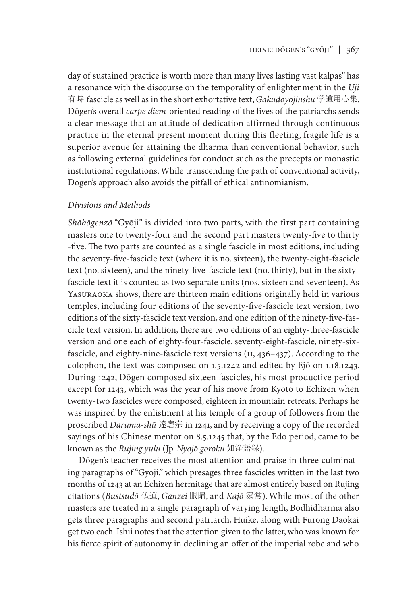day of sustained practice is worth more than many lives lasting vast kalpas" has a resonance with the discourse on the temporality of enlightenment in the *Uji* 有時 fascicle as well as in the short exhortative text, *Gakudōyōjinshū* 学道用心集. Dōgen's overall *carpe diem*-oriented reading of the lives of the patriarchs sends a clear message that an attitude of dedication affirmed through continuous practice in the eternal present moment during this fleeting, fragile life is a superior avenue for attaining the dharma than conventional behavior, such as following external guidelines for conduct such as the precepts or monastic institutional regulations. While transcending the path of conventional activity, Dōgen's approach also avoids the pitfall of ethical antinomianism.

### *Divisions and Methods*

*Shōbōgenzō* "Gyōji" is divided into two parts, with the first part containing masters one to twenty-four and the second part masters twenty-five to thirty -five. The two parts are counted as a single fascicle in most editions, including the seventy-five-fascicle text (where it is no. sixteen), the twenty-eight-fascicle text (no. sixteen), and the ninety-five-fascicle text (no. thirty), but in the sixtyfascicle text it is counted as two separate units (nos. sixteen and seventeen). As YASURAOKA shows, there are thirteen main editions originally held in various temples, including four editions of the seventy-five-fascicle text version, two editions of the sixty-fascicle text version, and one edition of the ninety-five-fascicle text version. In addition, there are two editions of an eighty-three-fascicle version and one each of eighty-four-fascicle, seventy-eight-fascicle, ninety-sixfascicle, and eighty-nine-fascicle text versions (II, 436–437). According to the colophon, the text was composed on 1.5.1242 and edited by Ejō on 1.18.1243. During 1242, Dōgen composed sixteen fascicles, his most productive period except for 1243, which was the year of his move from Kyoto to Echizen when twenty-two fascicles were composed, eighteen in mountain retreats. Perhaps he was inspired by the enlistment at his temple of a group of followers from the proscribed *Daruma-shū* 達磨宗 in 1241, and by receiving a copy of the recorded sayings of his Chinese mentor on 8.5.1245 that, by the Edo period, came to be known as the *Rujing yulu* (Jp. *Nyojō goroku* 如浄語録).

Dōgen's teacher receives the most attention and praise in three culminating paragraphs of "Gyōji," which presages three fascicles written in the last two months of 1243 at an Echizen hermitage that are almost entirely based on Rujing citations (*Bustsudō* 仏道, *Ganzei* 眼睛, and *Kajō* 家常). While most of the other masters are treated in a single paragraph of varying length, Bodhidharma also gets three paragraphs and second patriarch, Huike, along with Furong Daokai get two each. Ishii notes that the attention given to the latter, who was known for his fierce spirit of autonomy in declining an offer of the imperial robe and who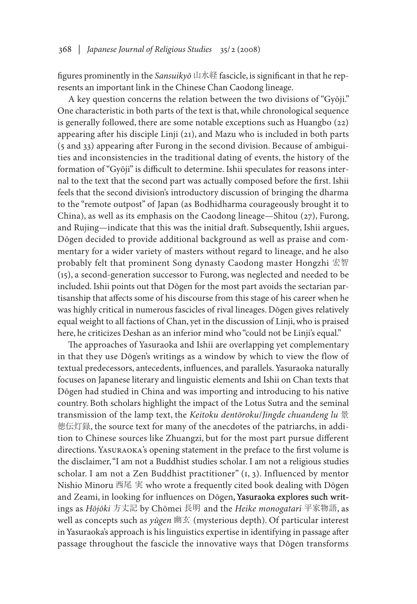figures prominently in the *Sansuikyō* 山水経 fascicle, is significant in that he represents an important link in the Chinese Chan Caodong lineage.

A key question concerns the relation between the two divisions of "Gyōji." One characteristic in both parts of the text is that, while chronological sequence is generally followed, there are some notable exceptions such as Huangbo (22) appearing after his disciple Linji (21), and Mazu who is included in both parts (5 and 33) appearing after Furong in the second division. Because of ambiguities and inconsistencies in the traditional dating of events, the history of the formation of "Gyōji" is difficult to determine. Ishii speculates for reasons internal to the text that the second part was actually composed before the first. Ishii feels that the second division's introductory discussion of bringing the dharma to the "remote outpost" of Japan (as Bodhidharma courageously brought it to China), as well as its emphasis on the Caodong lineage—Shitou (27), Furong, and Rujing—indicate that this was the initial draft. Subsequently, Ishii argues, Dōgen decided to provide additional background as well as praise and commentary for a wider variety of masters without regard to lineage, and he also probably felt that prominent Song dynasty Caodong master Hongzhi 宏智 (15), a second-generation successor to Furong, was neglected and needed to be included. Ishii points out that Dōgen for the most part avoids the sectarian partisanship that affects some of his discourse from this stage of his career when he was highly critical in numerous fascicles of rival lineages. Dōgen gives relatively equal weight to all factions of Chan, yet in the discussion of Linji, who is praised here, he criticizes Deshan as an inferior mind who "could not be Linji's equal."

The approaches of Yasuraoka and Ishii are overlapping yet complementary in that they use Dōgen's writings as a window by which to view the flow of textual predecessors, antecedents, influences, and parallels. Yasuraoka naturally focuses on Japanese literary and linguistic elements and Ishii on Chan texts that Dōgen had studied in China and was importing and introducing to his native country. Both scholars highlight the impact of the Lotus Sutra and the seminal transmission of the lamp text, the *Keitoku dentōroku*/*Jingde chuandeng lu* 景 徳伝灯録, the source text for many of the anecdotes of the patriarchs, in addition to Chinese sources like Zhuangzi, but for the most part pursue different directions. Yasuraoka's opening statement in the preface to the first volume is the disclaimer, "I am not a Buddhist studies scholar. I am not a religious studies scholar. I am not a Zen Buddhist practitioner" (I, 3). Influenced by mentor Nishio Minoru 西尾 実 who wrote a frequently cited book dealing with Dōgen and Zeami, in looking for influences on Dōgen, Yasuraoka explores such writings as *Hōjōki* 方丈記 by Chōmei 長明 and the *Heike monogatari* 平家物語, as well as concepts such as *yūgen* 幽玄 (mysterious depth). Of particular interest in Yasuraoka's approach is his linguistics expertise in identifying in passage after passage throughout the fascicle the innovative ways that Dōgen transforms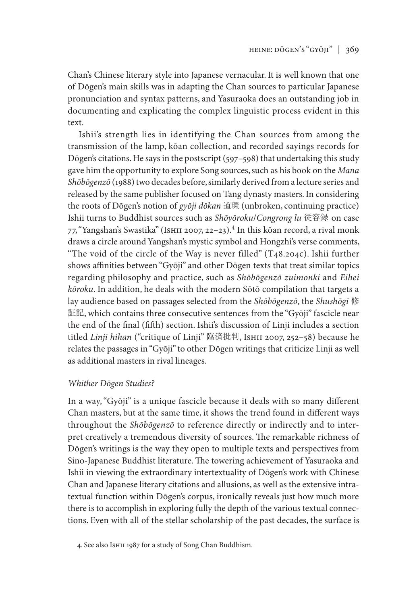Chan's Chinese literary style into Japanese vernacular. It is well known that one of Dōgen's main skills was in adapting the Chan sources to particular Japanese pronunciation and syntax patterns, and Yasuraoka does an outstanding job in documenting and explicating the complex linguistic process evident in this text.

Ishii's strength lies in identifying the Chan sources from among the transmission of the lamp, kōan collection, and recorded sayings records for Dōgen's citations. He says in the postscript (597–598) that undertaking this study gave him the opportunity to explore Song sources, such as his book on the *Mana Shōbōgenzō* (1988) two decades before, similarly derived from a lecture series and released by the same publisher focused on Tang dynasty masters. In considering the roots of Dōgen's notion of *gyōji dōkan* 道環 (unbroken, continuing practice) Ishii turns to Buddhist sources such as *Shōyōroku*/*Congrong lu* 従容録 on case 77, "Yangshan's Swastika" (Ishii 2007, 22-23).<sup>4</sup> In this kōan record, a rival monk draws a circle around Yangshan's mystic symbol and Hongzhi's verse comments, "The void of the circle of the Way is never filled"  $(T_{4}8.204c)$ . Ishii further shows affinities between "Gyōji" and other Dōgen texts that treat similar topics regarding philosophy and practice, such as *Shōbōgenzō zuimonki* and *Eihei kōroku*. In addition, he deals with the modern Sōtō compilation that targets a lay audience based on passages selected from the *Shōbōgenzō*, the *Shushōgi* 修 証記, which contains three consecutive sentences from the "Gyōji" fascicle near the end of the final (fifth) section. Ishii's discussion of Linji includes a section titled *Linji hihan* ("critique of Linji" 臨済批判, Ishii 2007, 252–58) because he relates the passages in "Gyōji" to other Dōgen writings that criticize Linji as well as additional masters in rival lineages.

#### *Whither Dōgen Studies?*

In a way, "Gyōji" is a unique fascicle because it deals with so many different Chan masters, but at the same time, it shows the trend found in different ways throughout the *Shōbōgenzō* to reference directly or indirectly and to interpret creatively a tremendous diversity of sources. The remarkable richness of Dōgen's writings is the way they open to multiple texts and perspectives from Sino-Japanese Buddhist literature. The towering achievement of Yasuraoka and Ishii in viewing the extraordinary intertextuality of Dōgen's work with Chinese Chan and Japanese literary citations and allusions, as well as the extensive intratextual function within Dōgen's corpus, ironically reveals just how much more there is to accomplish in exploring fully the depth of the various textual connections. Even with all of the stellar scholarship of the past decades, the surface is

4. See also Ishii 1987 for a study of Song Chan Buddhism.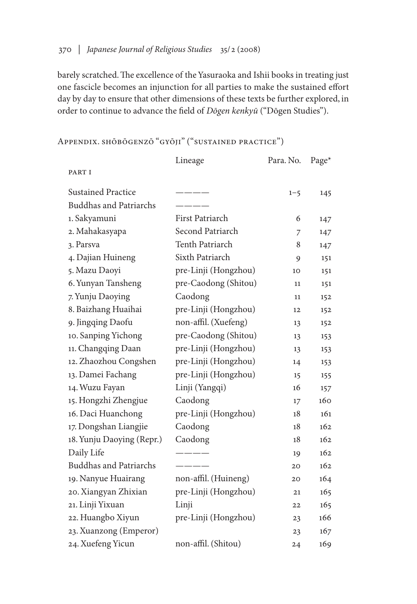barely scratched. The excellence of the Yasuraoka and Ishii books in treating just one fascicle becomes an injunction for all parties to make the sustained effort day by day to ensure that other dimensions of these texts be further explored, in order to continue to advance the field of *Dōgen kenkyū* ("Dōgen Studies").

|                               | Lineage              | Para. No. | Page* |
|-------------------------------|----------------------|-----------|-------|
| PART I                        |                      |           |       |
| <b>Sustained Practice</b>     |                      | $1 - 5$   | 145   |
| <b>Buddhas and Patriarchs</b> |                      |           |       |
| 1. Sakyamuni                  | First Patriarch      | 6         | 147   |
| 2. Mahakasyapa                | Second Patriarch     | 7         | 147   |
| 3. Parsva                     | Tenth Patriarch      | 8         | 147   |
| 4. Dajian Huineng             | Sixth Patriarch      | 9         | 151   |
| 5. Mazu Daoyi                 | pre-Linji (Hongzhou) | 10        | 151   |
| 6. Yunyan Tansheng            | pre-Caodong (Shitou) | 11        | 151   |
| 7. Yunju Daoying              | Caodong              | 11        | 152   |
| 8. Baizhang Huaihai           | pre-Linji (Hongzhou) | 12        | 152   |
| 9. Jingqing Daofu             | non-affil. (Xuefeng) | 13        | 152   |
| 10. Sanping Yichong           | pre-Caodong (Shitou) | 13        | 153   |
| 11. Changqing Daan            | pre-Linji (Hongzhou) | 13        | 153   |
| 12. Zhaozhou Congshen         | pre-Linji (Hongzhou) | 14        | 153   |
| 13. Damei Fachang             | pre-Linji (Hongzhou) | 15        | 155   |
| 14. Wuzu Fayan                | Linji (Yangqi)       | 16        | 157   |
| 15. Hongzhi Zhengjue          | Caodong              | 17        | 160   |
| 16. Daci Huanchong            | pre-Linji (Hongzhou) | 18        | 161   |
| 17. Dongshan Liangjie         | Caodong              | 18        | 162   |
| 18. Yunju Daoying (Repr.)     | Caodong              | 18        | 162   |
| Daily Life                    |                      | 19        | 162   |
| <b>Buddhas and Patriarchs</b> |                      | 20        | 162   |
| 19. Nanyue Huairang           | non-affil. (Huineng) | 20        | 164   |
| 20. Xiangyan Zhixian          | pre-Linji (Hongzhou) | 21        | 165   |
| 21. Linji Yixuan              | Linji                | 22        | 165   |
| 22. Huangbo Xiyun             | pre-Linji (Hongzhou) | 23        | 166   |
| 23. Xuanzong (Emperor)        |                      | 23        | 167   |
| 24. Xuefeng Yicun             | non-affil. (Shitou)  | 24        | 169   |

Appendix. shōbōgenzō "gyōji" ("sustained practice")